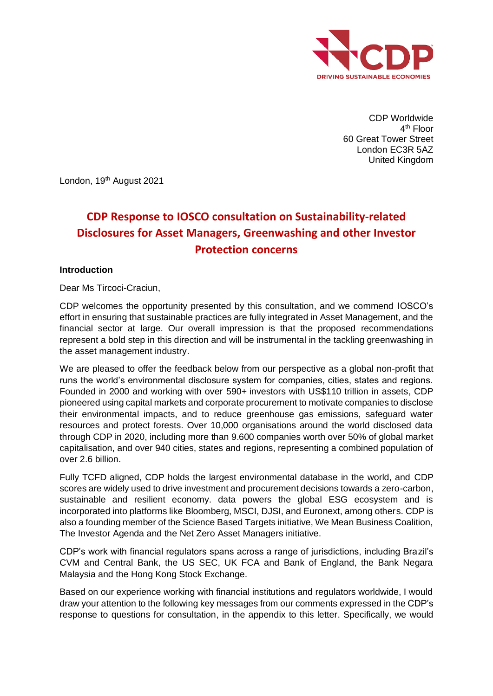

CDP Worldwide 4<sup>th</sup> Floor 60 Great Tower Street London EC3R 5AZ United Kingdom

London, 19<sup>th</sup> August 2021

# **CDP Response to IOSCO consultation on Sustainability-related Disclosures for Asset Managers, Greenwashing and other Investor Protection concerns**

### **Introduction**

Dear Ms Tircoci-Craciun,

CDP welcomes the opportunity presented by this consultation, and we commend IOSCO's effort in ensuring that sustainable practices are fully integrated in Asset Management, and the financial sector at large. Our overall impression is that the proposed recommendations represent a bold step in this direction and will be instrumental in the tackling greenwashing in the asset management industry.

We are pleased to offer the feedback below from our perspective as a global non-profit that runs the world's environmental disclosure system for companies, cities, states and regions. Founded in 2000 and working with over 590+ investors with US\$110 trillion in assets, CDP pioneered using capital markets and corporate procurement to motivate companies to disclose their environmental impacts, and to reduce greenhouse gas emissions, safeguard water resources and protect forests. Over 10,000 organisations around the world disclosed data through CDP in 2020, including more than 9.600 companies worth over 50% of global market capitalisation, and over 940 cities, states and regions, representing a combined population of over 2.6 billion.

Fully TCFD aligned, CDP holds the largest environmental database in the world, and CDP scores are widely used to drive investment and procurement decisions towards a zero-carbon, sustainable and resilient economy. data powers the global ESG ecosystem and is incorporated into platforms like Bloomberg, MSCI, DJSI, and Euronext, among others. CDP is also a founding member of the Science Based Targets initiative, We Mean Business Coalition, The Investor Agenda and the Net Zero Asset Managers initiative.

CDP's work with financial regulators spans across a range of jurisdictions, including Brazil's CVM and Central Bank, the US SEC, UK FCA and Bank of England, the Bank Negara Malaysia and the Hong Kong Stock Exchange.

Based on our experience working with financial institutions and regulators worldwide, I would draw your attention to the following key messages from our comments expressed in the CDP's response to questions for consultation, in the appendix to this letter. Specifically, we would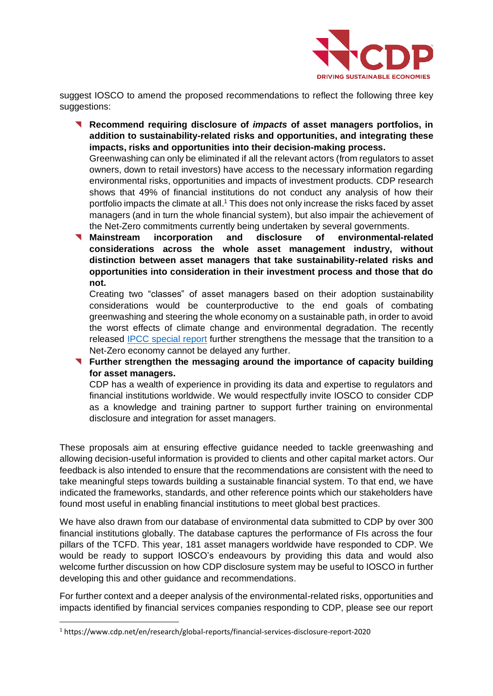

suggest IOSCO to amend the proposed recommendations to reflect the following three key suggestions:

◥ **Recommend requiring disclosure of** *impacts* **of asset managers portfolios, in addition to sustainability-related risks and opportunities, and integrating these impacts, risks and opportunities into their decision-making process.**

Greenwashing can only be eliminated if all the relevant actors (from regulators to asset owners, down to retail investors) have access to the necessary information regarding environmental risks, opportunities and impacts of investment products. CDP research shows that 49% of financial institutions do not conduct any analysis of how their portfolio impacts the climate at all.<sup>1</sup> This does not only increase the risks faced by asset managers (and in turn the whole financial system), but also impair the achievement of the Net-Zero commitments currently being undertaken by several governments.

◥ **Mainstream incorporation and disclosure of environmental-related considerations across the whole asset management industry, without distinction between asset managers that take sustainability-related risks and opportunities into consideration in their investment process and those that do not.**

Creating two "classes" of asset managers based on their adoption sustainability considerations would be counterproductive to the end goals of combating greenwashing and steering the whole economy on a sustainable path, in order to avoid the worst effects of climate change and environmental degradation. The recently released [IPCC special report](https://www.ipcc.ch/sr15/) further strengthens the message that the transition to a Net-Zero economy cannot be delayed any further.

◥ **Further strengthen the messaging around the importance of capacity building for asset managers.** 

CDP has a wealth of experience in providing its data and expertise to regulators and financial institutions worldwide. We would respectfully invite IOSCO to consider CDP as a knowledge and training partner to support further training on environmental disclosure and integration for asset managers.

These proposals aim at ensuring effective guidance needed to tackle greenwashing and allowing decision-useful information is provided to clients and other capital market actors. Our feedback is also intended to ensure that the recommendations are consistent with the need to take meaningful steps towards building a sustainable financial system. To that end, we have indicated the frameworks, standards, and other reference points which our stakeholders have found most useful in enabling financial institutions to meet global best practices.

We have also drawn from our database of environmental data submitted to CDP by over 300 financial institutions globally. The database captures the performance of FIs across the four pillars of the TCFD. This year, 181 asset managers worldwide have responded to CDP. We would be ready to support IOSCO's endeavours by providing this data and would also welcome further discussion on how CDP disclosure system may be useful to IOSCO in further developing this and other guidance and recommendations.

For further context and a deeper analysis of the environmental-related risks, opportunities and impacts identified by financial services companies responding to CDP, please see our report

<sup>1</sup> https://www.cdp.net/en/research/global-reports/financial-services-disclosure-report-2020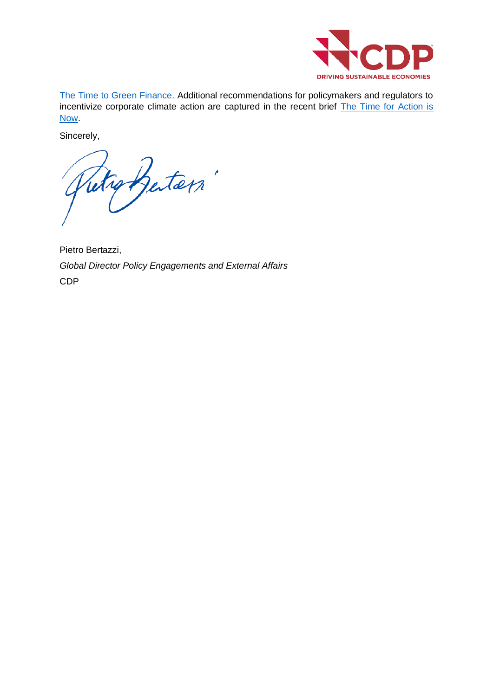

[The Time to Green Finance.](https://www.cdp.net/en/research/global-reports/financial-services-disclosure-report-2020) Additional recommendations for policymakers and regulators to incentivize corporate climate action are captured in the recent brief [The Time for Action is](https://www.cdp.net/en/policy-and-public-affairs/policy-briefings/the-time-for-action-is-now)  [Now.](https://www.cdp.net/en/policy-and-public-affairs/policy-briefings/the-time-for-action-is-now)

Sincerely,

Retroffeters'

Pietro Bertazzi, *Global Director Policy Engagements and External Affairs* CDP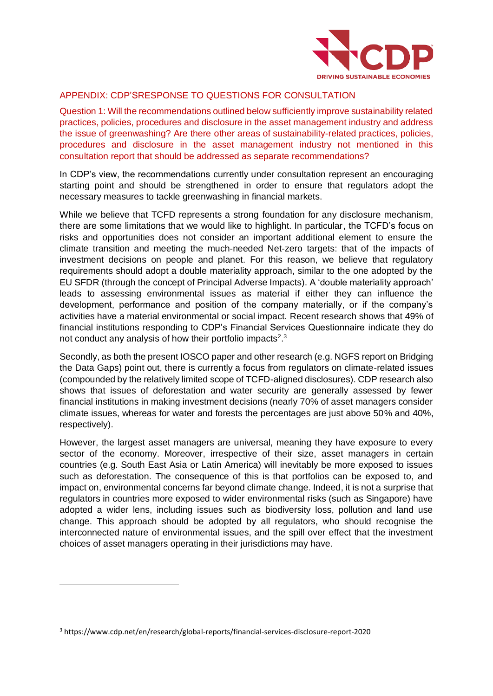

## APPENDIX: CDP'SRESPONSE TO QUESTIONS FOR CONSULTATION

Question 1: Will the recommendations outlined below sufficiently improve sustainability related practices, policies, procedures and disclosure in the asset management industry and address the issue of greenwashing? Are there other areas of sustainability-related practices, policies, procedures and disclosure in the asset management industry not mentioned in this consultation report that should be addressed as separate recommendations?

In CDP's view, the recommendations currently under consultation represent an encouraging starting point and should be strengthened in order to ensure that regulators adopt the necessary measures to tackle greenwashing in financial markets.

While we believe that TCFD represents a strong foundation for any disclosure mechanism, there are some limitations that we would like to highlight. In particular, the TCFD's focus on risks and opportunities does not consider an important additional element to ensure the climate transition and meeting the much-needed Net-zero targets: that of the impacts of investment decisions on people and planet. For this reason, we believe that regulatory requirements should adopt a double materiality approach, similar to the one adopted by the EU SFDR (through the concept of Principal Adverse Impacts). A 'double materiality approach' leads to assessing environmental issues as material if either they can influence the development, performance and position of the company materially, or if the company's activities have a material environmental or social impact. Recent research shows that 49% of financial institutions responding to CDP's Financial Services Questionnaire indicate they do not conduct any analysis of how their portfolio impacts<sup>2,3</sup>

Secondly, as both the present IOSCO paper and other research (e.g. NGFS report on Bridging the Data Gaps) point out, there is currently a focus from regulators on climate-related issues (compounded by the relatively limited scope of TCFD-aligned disclosures). CDP research also shows that issues of deforestation and water security are generally assessed by fewer financial institutions in making investment decisions (nearly 70% of asset managers consider climate issues, whereas for water and forests the percentages are just above 50% and 40%, respectively).

However, the largest asset managers are universal, meaning they have exposure to every sector of the economy. Moreover, irrespective of their size, asset managers in certain countries (e.g. South East Asia or Latin America) will inevitably be more exposed to issues such as deforestation. The consequence of this is that portfolios can be exposed to, and impact on, environmental concerns far beyond climate change. Indeed, it is not a surprise that regulators in countries more exposed to wider environmental risks (such as Singapore) have adopted a wider lens, including issues such as biodiversity loss, pollution and land use change. This approach should be adopted by all regulators, who should recognise the interconnected nature of environmental issues, and the spill over effect that the investment choices of asset managers operating in their jurisdictions may have.

<sup>3</sup> https://www.cdp.net/en/research/global-reports/financial-services-disclosure-report-2020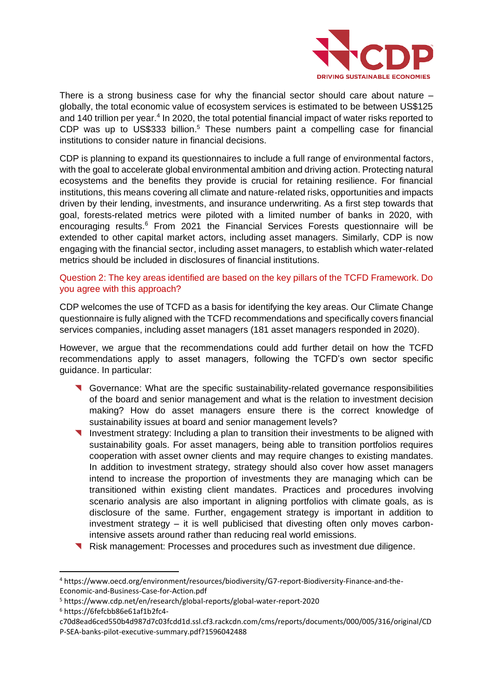

There is a strong business case for why the financial sector should care about nature  $$ globally, the total economic value of ecosystem services is estimated to be between US\$125 and 140 trillion per year.<sup>4</sup> In 2020, the total potential financial impact of water risks reported to  $CDP$  was up to US\$333 billion.<sup>5</sup> These numbers paint a compelling case for financial institutions to consider nature in financial decisions.

CDP is planning to expand its questionnaires to include a full range of environmental factors, with the goal to accelerate global environmental ambition and driving action. Protecting natural ecosystems and the benefits they provide is crucial for retaining resilience. For financial institutions, this means covering all climate and nature-related risks, opportunities and impacts driven by their lending, investments, and insurance underwriting. As a first step towards that goal, forests-related metrics were piloted with a limited number of banks in 2020, with encouraging results.<sup>6</sup> From 2021 the Financial Services Forests questionnaire will be extended to other capital market actors, including asset managers. Similarly, CDP is now engaging with the financial sector, including asset managers, to establish which water-related metrics should be included in disclosures of financial institutions.

### Question 2: The key areas identified are based on the key pillars of the TCFD Framework. Do you agree with this approach?

CDP welcomes the use of TCFD as a basis for identifying the key areas. Our Climate Change questionnaire is fully aligned with the TCFD recommendations and specifically covers financial services companies, including asset managers (181 asset managers responded in 2020).

However, we argue that the recommendations could add further detail on how the TCFD recommendations apply to asset managers, following the TCFD's own sector specific guidance. In particular:

- Governance: What are the specific sustainability-related governance responsibilities of the board and senior management and what is the relation to investment decision making? How do asset managers ensure there is the correct knowledge of sustainability issues at board and senior management levels?
- ◥ Investment strategy: Including a plan to transition their investments to be aligned with sustainability goals. For asset managers, being able to transition portfolios requires cooperation with asset owner clients and may require changes to existing mandates. In addition to investment strategy, strategy should also cover how asset managers intend to increase the proportion of investments they are managing which can be transitioned within existing client mandates. Practices and procedures involving scenario analysis are also important in aligning portfolios with climate goals, as is disclosure of the same. Further, engagement strategy is important in addition to investment strategy – it is well publicised that divesting often only moves carbonintensive assets around rather than reducing real world emissions.
- ◥ Risk management: Processes and procedures such as investment due diligence.

c70d8ead6ced550b4d987d7c03fcdd1d.ssl.cf3.rackcdn.com/cms/reports/documents/000/005/316/original/CD P-SEA-banks-pilot-executive-summary.pdf?1596042488

<sup>4</sup> https://www.oecd.org/environment/resources/biodiversity/G7-report-Biodiversity-Finance-and-the-Economic-and-Business-Case-for-Action.pdf

<sup>5</sup> https://www.cdp.net/en/research/global-reports/global-water-report-2020

<sup>6</sup> https://6fefcbb86e61af1b2fc4-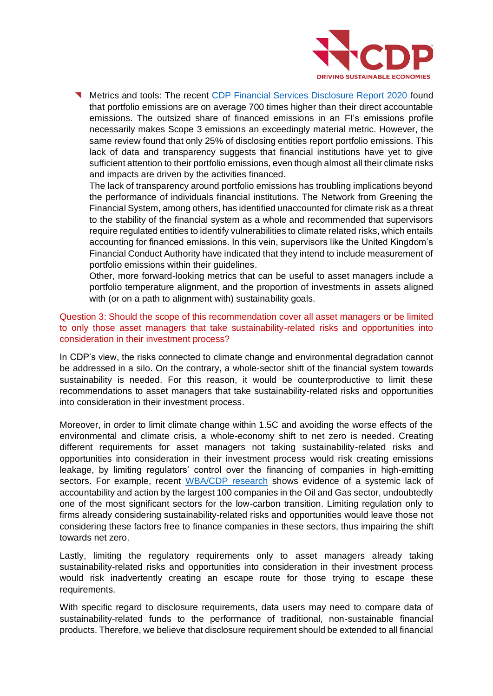

Metrics and tools: The recent [CDP Financial Services Disclosure Report 2020](https://www.cdp.net/en/research/global-reports/financial-services-disclosure-report-2020) found that portfolio emissions are on average 700 times higher than their direct accountable emissions. The outsized share of financed emissions in an FI's emissions profile necessarily makes Scope 3 emissions an exceedingly material metric. However, the same review found that only 25% of disclosing entities report portfolio emissions. This lack of data and transparency suggests that financial institutions have yet to give sufficient attention to their portfolio emissions, even though almost all their climate risks and impacts are driven by the activities financed.

The lack of transparency around portfolio emissions has troubling implications beyond the performance of individuals financial institutions. The Network from Greening the Financial System, among others, has identified unaccounted for climate risk as a threat to the stability of the financial system as a whole and recommended that supervisors require regulated entities to identify vulnerabilities to climate related risks, which entails accounting for financed emissions. In this vein, supervisors like the United Kingdom's Financial Conduct Authority have indicated that they intend to include measurement of portfolio emissions within their guidelines.

Other, more forward-looking metrics that can be useful to asset managers include a portfolio temperature alignment, and the proportion of investments in assets aligned with (or on a path to alignment with) sustainability goals.

### Question 3: Should the scope of this recommendation cover all asset managers or be limited to only those asset managers that take sustainability-related risks and opportunities into consideration in their investment process?

In CDP's view, the risks connected to climate change and environmental degradation cannot be addressed in a silo. On the contrary, a whole-sector shift of the financial system towards sustainability is needed. For this reason, it would be counterproductive to limit these recommendations to asset managers that take sustainability-related risks and opportunities into consideration in their investment process.

Moreover, in order to limit climate change within 1.5C and avoiding the worse effects of the environmental and climate crisis, a whole-economy shift to net zero is needed. Creating different requirements for asset managers not taking sustainability-related risks and opportunities into consideration in their investment process would risk creating emissions leakage, by limiting regulators' control over the financing of companies in high-emitting sectors. For example, recent [WBA/CDP research](https://assets.worldbenchmarkingalliance.org/app/uploads/2021/07/Oil-and-Gas-Benchmark-Insights-Report-2021.pdf) shows evidence of a systemic lack of accountability and action by the largest 100 companies in the Oil and Gas sector, undoubtedly one of the most significant sectors for the low-carbon transition. Limiting regulation only to firms already considering sustainability-related risks and opportunities would leave those not considering these factors free to finance companies in these sectors, thus impairing the shift towards net zero.

Lastly, limiting the regulatory requirements only to asset managers already taking sustainability-related risks and opportunities into consideration in their investment process would risk inadvertently creating an escape route for those trying to escape these requirements.

With specific regard to disclosure requirements, data users may need to compare data of sustainability-related funds to the performance of traditional, non-sustainable financial products. Therefore, we believe that disclosure requirement should be extended to all financial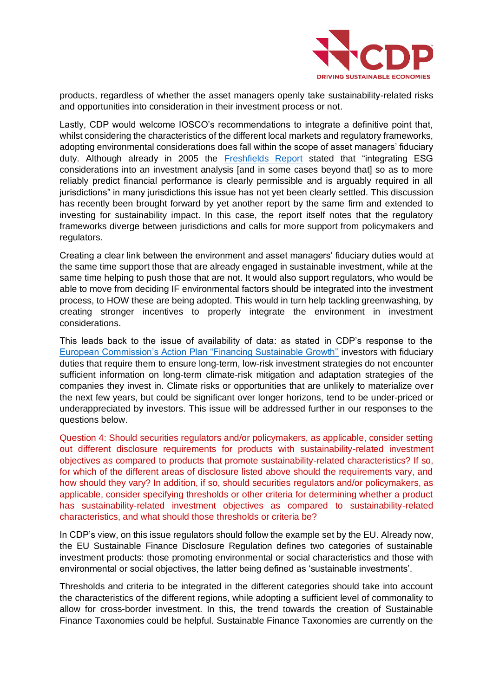

products, regardless of whether the asset managers openly take sustainability-related risks and opportunities into consideration in their investment process or not.

Lastly, CDP would welcome IOSCO's recommendations to integrate a definitive point that, whilst considering the characteristics of the different local markets and regulatory frameworks, adopting environmental considerations does fall within the scope of asset managers' fiduciary duty. Although already in 2005 the [Freshfields Report](https://www.unepfi.org/fileadmin/documents/freshfields_legal_resp_20051123.pdf) stated that "integrating ESG considerations into an investment analysis [and in some cases beyond that] so as to more reliably predict financial performance is clearly permissible and is arguably required in all jurisdictions" in many jurisdictions this issue has not yet been clearly settled. This discussion has recently been brought forward by yet another report by the same firm and extended to investing for sustainability impact. In this case, the report itself notes that the regulatory frameworks diverge between jurisdictions and calls for more support from policymakers and regulators.

Creating a clear link between the environment and asset managers' fiduciary duties would at the same time support those that are already engaged in sustainable investment, while at the same time helping to push those that are not. It would also support regulators, who would be able to move from deciding IF environmental factors should be integrated into the investment process, to HOW these are being adopted. This would in turn help tackling greenwashing, by creating stronger incentives to properly integrate the environment in investment considerations.

This leads back to the issue of availability of data: as stated in CDP's response to the [European Commission's Action Plan "Financing Sustainable Growth"](https://6fefcbb86e61af1b2fc4-c70d8ead6ced550b4d987d7c03fcdd1d.ssl.cf3.rackcdn.com/cms/reports/documents/000/003/202/original/CDP_Europe_on_Action_Plan_on_Sustainable_Finance_v3.pdf?1530612218) investors with fiduciary duties that require them to ensure long-term, low-risk investment strategies do not encounter sufficient information on long-term climate-risk mitigation and adaptation strategies of the companies they invest in. Climate risks or opportunities that are unlikely to materialize over the next few years, but could be significant over longer horizons, tend to be under-priced or underappreciated by investors. This issue will be addressed further in our responses to the questions below.

Question 4: Should securities regulators and/or policymakers, as applicable, consider setting out different disclosure requirements for products with sustainability-related investment objectives as compared to products that promote sustainability-related characteristics? If so, for which of the different areas of disclosure listed above should the requirements vary, and how should they vary? In addition, if so, should securities regulators and/or policymakers, as applicable, consider specifying thresholds or other criteria for determining whether a product has sustainability-related investment objectives as compared to sustainability-related characteristics, and what should those thresholds or criteria be?

In CDP's view, on this issue regulators should follow the example set by the EU. Already now, the EU Sustainable Finance Disclosure Regulation defines two categories of sustainable investment products: those promoting environmental or social characteristics and those with environmental or social objectives, the latter being defined as 'sustainable investments'.

Thresholds and criteria to be integrated in the different categories should take into account the characteristics of the different regions, while adopting a sufficient level of commonality to allow for cross-border investment. In this, the trend towards the creation of Sustainable Finance Taxonomies could be helpful. Sustainable Finance Taxonomies are currently on the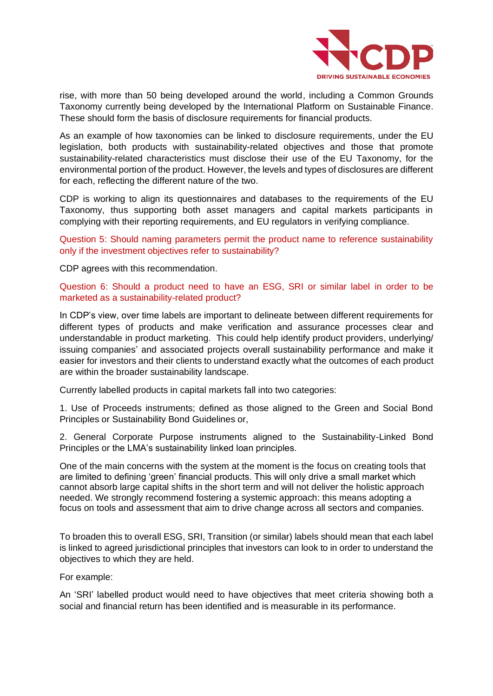

rise, with more than 50 being developed around the world, including a Common Grounds Taxonomy currently being developed by the International Platform on Sustainable Finance. These should form the basis of disclosure requirements for financial products.

As an example of how taxonomies can be linked to disclosure requirements, under the EU legislation, both products with sustainability-related objectives and those that promote sustainability-related characteristics must disclose their use of the EU Taxonomy, for the environmental portion of the product. However, the levels and types of disclosures are different for each, reflecting the different nature of the two.

CDP is working to align its questionnaires and databases to the requirements of the EU Taxonomy, thus supporting both asset managers and capital markets participants in complying with their reporting requirements, and EU regulators in verifying compliance.

Question 5: Should naming parameters permit the product name to reference sustainability only if the investment objectives refer to sustainability?

CDP agrees with this recommendation.

Question 6: Should a product need to have an ESG, SRI or similar label in order to be marketed as a sustainability-related product?

In CDP's view, over time labels are important to delineate between different requirements for different types of products and make verification and assurance processes clear and understandable in product marketing. This could help identify product providers, underlying/ issuing companies' and associated projects overall sustainability performance and make it easier for investors and their clients to understand exactly what the outcomes of each product are within the broader sustainability landscape.

Currently labelled products in capital markets fall into two categories:

1. Use of Proceeds instruments; defined as those aligned to the Green and Social Bond Principles or Sustainability Bond Guidelines or,

2. General Corporate Purpose instruments aligned to the Sustainability-Linked Bond Principles or the LMA's sustainability linked loan principles.

One of the main concerns with the system at the moment is the focus on creating tools that are limited to defining 'green' financial products. This will only drive a small market which cannot absorb large capital shifts in the short term and will not deliver the holistic approach needed. We strongly recommend fostering a systemic approach: this means adopting a focus on tools and assessment that aim to drive change across all sectors and companies.

To broaden this to overall ESG, SRI, Transition (or similar) labels should mean that each label is linked to agreed jurisdictional principles that investors can look to in order to understand the objectives to which they are held.

For example:

An 'SRI' labelled product would need to have objectives that meet criteria showing both a social and financial return has been identified and is measurable in its performance.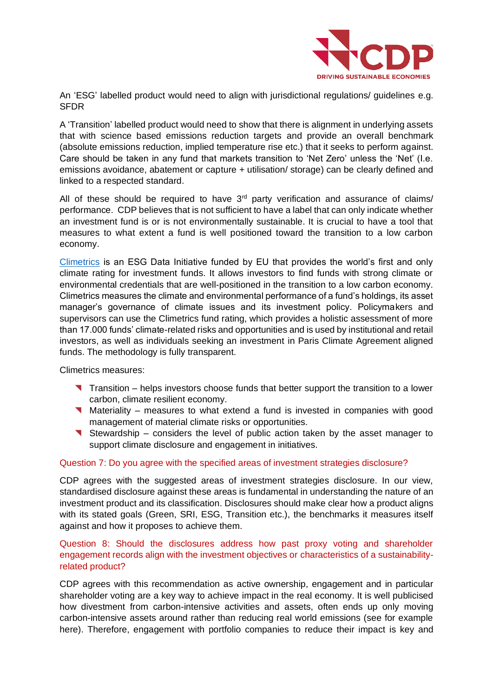

An 'ESG' labelled product would need to align with jurisdictional regulations/ guidelines e.g. **SFDR** 

A 'Transition' labelled product would need to show that there is alignment in underlying assets that with science based emissions reduction targets and provide an overall benchmark (absolute emissions reduction, implied temperature rise etc.) that it seeks to perform against. Care should be taken in any fund that markets transition to 'Net Zero' unless the 'Net' (I.e. emissions avoidance, abatement or capture + utilisation/ storage) can be clearly defined and linked to a respected standard.

All of these should be required to have  $3<sup>rd</sup>$  party verification and assurance of claims/ performance. CDP believes that is not sufficient to have a label that can only indicate whether an investment fund is or is not environmentally sustainable. It is crucial to have a tool that measures to what extent a fund is well positioned toward the transition to a low carbon economy.

[Climetrics](https://www.cdp.net/en/investor/climetrics) is an ESG Data Initiative funded by EU that provides the world's first and only climate rating for investment funds. It allows investors to find funds with strong climate or environmental credentials that are well-positioned in the transition to a low carbon economy. Climetrics measures the climate and environmental performance of a fund's holdings, its asset manager's governance of climate issues and its investment policy. Policymakers and supervisors can use the Climetrics fund rating, which provides a holistic assessment of more than 17.000 funds' climate-related risks and opportunities and is used by institutional and retail investors, as well as individuals seeking an investment in Paris Climate Agreement aligned funds. The methodology is fully transparent.

Climetrics measures:

- ◥ Transition helps investors choose funds that better support the transition to a lower carbon, climate resilient economy.
- ◥ Materiality measures to what extend a fund is invested in companies with good management of material climate risks or opportunities.
- ◥ Stewardship considers the level of public action taken by the asset manager to support climate disclosure and engagement in initiatives.

#### Question 7: Do you agree with the specified areas of investment strategies disclosure?

CDP agrees with the suggested areas of investment strategies disclosure. In our view, standardised disclosure against these areas is fundamental in understanding the nature of an investment product and its classification. Disclosures should make clear how a product aligns with its stated goals (Green, SRI, ESG, Transition etc.), the benchmarks it measures itself against and how it proposes to achieve them.

#### Question 8: Should the disclosures address how past proxy voting and shareholder engagement records align with the investment objectives or characteristics of a sustainabilityrelated product?

CDP agrees with this recommendation as active ownership, engagement and in particular shareholder voting are a key way to achieve impact in the real economy. It is well publicised how divestment from carbon-intensive activities and assets, often ends up only moving carbon-intensive assets around rather than reducing real world emissions (see for example [here\)](https://www.bloomberg.com/graphics/2021-tracking-carbon-emissions-BP-hilcorp/). Therefore, engagement with portfolio companies to reduce their impact is key and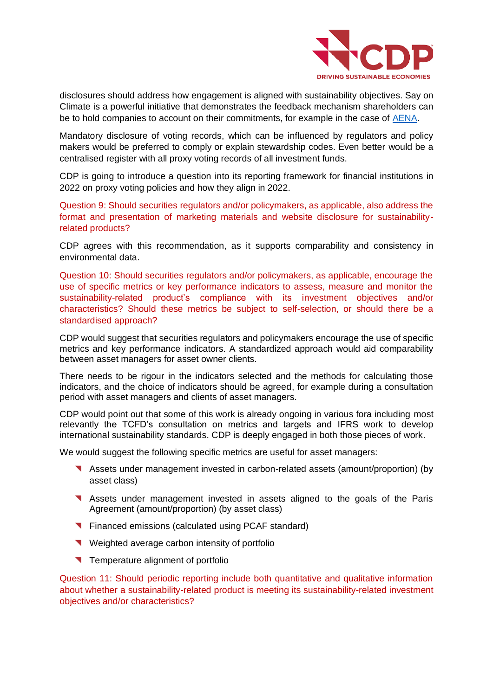

disclosures should address how engagement is aligned with sustainability objectives. [Say on](https://www.sayonclimate.org/)  [Climate](https://www.sayonclimate.org/) is a powerful initiative that demonstrates the feedback mechanism shareholders can be to hold companies to account on their commitments, for example in the case of [AENA.](https://www.sayonclimate.org/case-study/)

Mandatory disclosure of voting records, which can be influenced by regulators and policy makers would be preferred to comply or explain stewardship codes. Even better would be a centralised register with all proxy voting records of all investment funds.

CDP is going to introduce a question into its reporting framework for financial institutions in 2022 on proxy voting policies and how they align in 2022.

Question 9: Should securities regulators and/or policymakers, as applicable, also address the format and presentation of marketing materials and website disclosure for sustainabilityrelated products?

CDP agrees with this recommendation, as it supports comparability and consistency in environmental data.

Question 10: Should securities regulators and/or policymakers, as applicable, encourage the use of specific metrics or key performance indicators to assess, measure and monitor the sustainability-related product's compliance with its investment objectives and/or characteristics? Should these metrics be subject to self-selection, or should there be a standardised approach?

CDP would suggest that securities regulators and policymakers encourage the use of specific metrics and key performance indicators. A standardized approach would aid comparability between asset managers for asset owner clients.

There needs to be rigour in the indicators selected and the methods for calculating those indicators, and the choice of indicators should be agreed, for example during a consultation period with asset managers and clients of asset managers.

CDP would point out that some of this work is already ongoing in various fora including most relevantly the TCFD's consultation on metrics and targets and IFRS work to develop international sustainability standards. CDP is deeply engaged in both those pieces of work.

We would suggest the following specific metrics are useful for asset managers:

- ◥ Assets under management invested in carbon-related assets (amount/proportion) (by asset class)
- ◥ Assets under management invested in assets aligned to the goals of the Paris Agreement (amount/proportion) (by asset class)
- ◥ Financed emissions (calculated using PCAF standard)
- ◥ Weighted average carbon intensity of portfolio
- ◥ Temperature alignment of portfolio

Question 11: Should periodic reporting include both quantitative and qualitative information about whether a sustainability-related product is meeting its sustainability-related investment objectives and/or characteristics?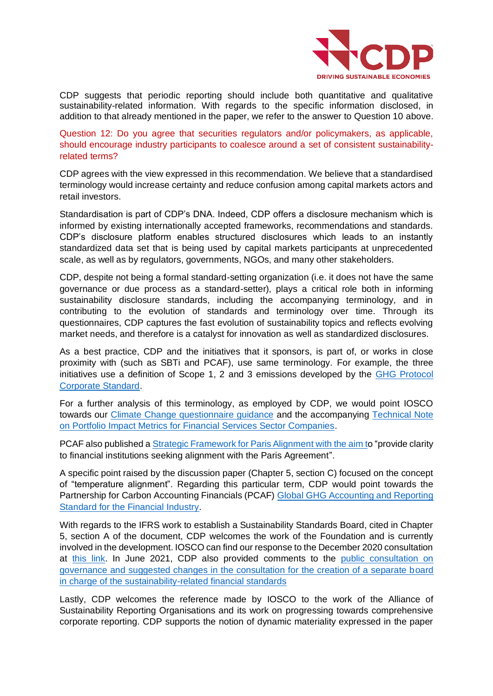

CDP suggests that periodic reporting should include both quantitative and qualitative sustainability-related information. With regards to the specific information disclosed, in addition to that already mentioned in the paper, we refer to the answer to Question 10 above.

Question 12: Do you agree that securities regulators and/or policymakers, as applicable, should encourage industry participants to coalesce around a set of consistent sustainabilityrelated terms?

CDP agrees with the view expressed in this recommendation. We believe that a standardised terminology would increase certainty and reduce confusion among capital markets actors and retail investors.

Standardisation is part of CDP's DNA. Indeed, CDP offers a disclosure mechanism which is informed by existing internationally accepted frameworks, recommendations and standards. CDP's disclosure platform enables structured disclosures which leads to an instantly standardized data set that is being used by capital markets participants at unprecedented scale, as well as by regulators, governments, NGOs, and many other stakeholders.

CDP, despite not being a formal standard-setting organization (i.e. it does not have the same governance or due process as a standard-setter), plays a critical role both in informing sustainability disclosure standards, including the accompanying terminology, and in contributing to the evolution of standards and terminology over time. Through its questionnaires, CDP captures the fast evolution of sustainability topics and reflects evolving market needs, and therefore is a catalyst for innovation as well as standardized disclosures.

As a best practice, CDP and the initiatives that it sponsors, is part of, or works in close proximity with (such as SBTi and PCAF), use same terminology. For example, the three initiatives use a definition of Scope 1, 2 and 3 emissions developed by the [GHG Protocol](https://ghgprotocol.org/corporate-standard)  [Corporate Standard.](https://ghgprotocol.org/corporate-standard)

For a further analysis of this terminology, as employed by CDP, we would point IOSCO towards our [Climate Change questionnaire guidance](https://www.cdp.net/en/guidance/guidance-for-companies) and the accompanying [Technical Note](https://6fefcbb86e61af1b2fc4-c70d8ead6ced550b4d987d7c03fcdd1d.ssl.cf3.rackcdn.com/cms/guidance_docs/pdfs/000/002/428/original/CDP_Technical_Note_on_Portfolio_Impact_Metrics_for_Financial_Services_Sector_Companies.pdf?1610122108)  [on Portfolio Impact Metrics for Financial Services Sector Companies.](https://6fefcbb86e61af1b2fc4-c70d8ead6ced550b4d987d7c03fcdd1d.ssl.cf3.rackcdn.com/cms/guidance_docs/pdfs/000/002/428/original/CDP_Technical_Note_on_Portfolio_Impact_Metrics_for_Financial_Services_Sector_Companies.pdf?1610122108)

PCAF also published a [Strategic Framework for Paris Alignment](https://carbonaccountingfinancials.com/files/2021-04/2106-strategic-framework-12.pdf?29be10e5a6) with the aim to "provide clarity to financial institutions seeking alignment with the Paris Agreement".

A specific point raised by the discussion paper (Chapter 5, section C) focused on the concept of "temperature alignment". Regarding this particular term, CDP would point towards the Partnership for Carbon Accounting Financials (PCAF) [Global GHG Accounting and Reporting](https://carbonaccountingfinancials.com/files/downloads/PCAF-Global-GHG-Standard.pdf)  [Standard for the Financial Industry.](https://carbonaccountingfinancials.com/files/downloads/PCAF-Global-GHG-Standard.pdf)

With regards to the IFRS work to establish a Sustainability Standards Board, cited in Chapter 5, section A of the document, CDP welcomes the work of the Foundation and is currently involved in the development. IOSCO can find our response to the December 2020 consultation at [this link.](http://eifrs.ifrs.org/eifrs/comment_letters/570/570_27467_PietroBertazziCDP_0_CDP_Response_IFRS_Consultation_2020.pdf) In June 2021, CDP also provided comments to the [public consultation on](http://eifrs.ifrs.org/eifrs/comment_letters/590/590_28557_CharlottePortierCDP_0_2021_07_CDP_Response_IFRS_Consultation_Governance.pdf)  [governance and suggested changes in the consultation for the creation of a separate board](http://eifrs.ifrs.org/eifrs/comment_letters/590/590_28557_CharlottePortierCDP_0_2021_07_CDP_Response_IFRS_Consultation_Governance.pdf)  [in charge of the sustainability-related financial standards](http://eifrs.ifrs.org/eifrs/comment_letters/590/590_28557_CharlottePortierCDP_0_2021_07_CDP_Response_IFRS_Consultation_Governance.pdf)

Lastly, CDP welcomes the reference made by IOSCO to the work of the Alliance of Sustainability Reporting Organisations and its work on progressing towards comprehensive corporate reporting. CDP supports the notion of dynamic materiality expressed in the paper